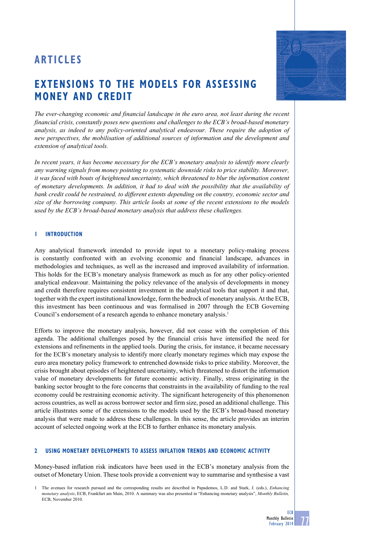# **ARTICLE S**

# **extensions to the models for Assessing money and credit**

*The ever-changing economic and financial landscape in the euro area, not least during the recent financial crisis, constantly poses new questions and challenges to the ECB's broad-based monetary analysis, as indeed to any policy-oriented analytical endeavour. These require the adoption of new perspectives, the mobilisation of additional sources of information and the development and extension of analytical tools.*

*In recent years, it has become necessary for the ECB's monetary analysis to identify more clearly any warning signals from money pointing to systematic downside risks to price stability. Moreover, it was faced with bouts of heightened uncertainty, which threatened to blur the information content of monetary developments. In addition, it had to deal with the possibility that the availability of bank credit could be restrained, to different extents depending on the country, economic sector and size of the borrowing company. This article looks at some of the recent extensions to the models used by the ECB's broad-based monetary analysis that address these challenges.*

# **1 Introduction**

Any analytical framework intended to provide input to a monetary policy-making process is constantly confronted with an evolving economic and financial landscape, advances in methodologies and techniques, as well as the increased and improved availability of information. This holds for the ECB's monetary analysis framework as much as for any other policy-oriented analytical endeavour. Maintaining the policy relevance of the analysis of developments in money and credit therefore requires consistent investment in the analytical tools that support it and that, together with the expert institutional knowledge, form the bedrock of monetary analysis. At the ECB, this investment has been continuous and was formalised in 2007 through the ECB Governing Council's endorsement of a research agenda to enhance monetary analysis.<sup>1</sup>

Efforts to improve the monetary analysis, however, did not cease with the completion of this agenda. The additional challenges posed by the financial crisis have intensified the need for extensions and refinements in the applied tools. During the crisis, for instance, it became necessary for the ECB's monetary analysis to identify more clearly monetary regimes which may expose the euro area monetary policy framework to entrenched downside risks to price stability. Moreover, the crisis brought about episodes of heightened uncertainty, which threatened to distort the information value of monetary developments for future economic activity. Finally, stress originating in the banking sector brought to the fore concerns that constraints in the availability of funding to the real economy could be restraining economic activity. The significant heterogeneity of this phenomenon across countries, as well as across borrower sector and firm size, posed an additional challenge. This article illustrates some of the extensions to the models used by the ECB's broad-based monetary analysis that were made to address these challenges. In this sense, the article provides an interim account of selected ongoing work at the ECB to further enhance its monetary analysis.

# **2 USING monetary developments TO assess inflation trends and economic activity**

Money-based inflation risk indicators have been used in the ECB's monetary analysis from the outset of Monetary Union. These tools provide a convenient way to summarise and synthesise a vast



77 **ECB** Monthly Bulletin February 2014

<sup>1</sup> The avenues for research pursued and the corresponding results are described in Papademos, L.D. and Stark, J. (eds.), *Enhancing monetary analysis*, ECB, Frankfurt am Main, 2010. A summary was also presented in "Enhancing monetary analysis", *Monthly Bulletin,*  ECB, November 2010.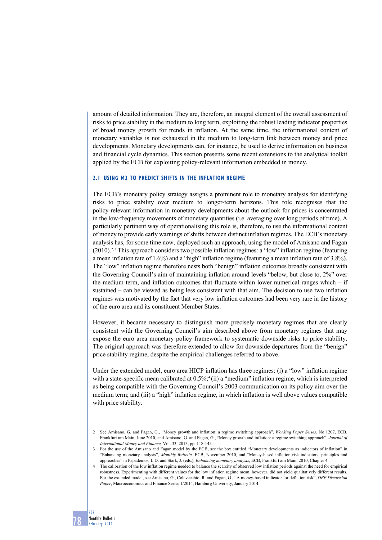amount of detailed information. They are, therefore, an integral element of the overall assessment of risks to price stability in the medium to long term, exploiting the robust leading indicator properties of broad money growth for trends in inflation. At the same time, the informational content of monetary variables is not exhausted in the medium to long-term link between money and price developments. Monetary developments can, for instance, be used to derive information on business and financial cycle dynamics. This section presents some recent extensions to the analytical toolkit applied by the ECB for exploiting policy-relevant information embedded in money.

# **2.1 Using M3 to predict shifts in the inflation regime**

The ECB's monetary policy strategy assigns a prominent role to monetary analysis for identifying risks to price stability over medium to longer-term horizons. This role recognises that the policy-relevant information in monetary developments about the outlook for prices is concentrated in the low-frequency movements of monetary quantities (i.e. averaging over long periods of time). A particularly pertinent way of operationalising this role is, therefore, to use the informational content of money to provide early warnings of shifts between distinct inflation regimes. The ECB's monetary analysis has, for some time now, deployed such an approach, using the model of Amisano and Fagan (2010).<sup>2,3</sup> This approach considers two possible inflation regimes: a "low" inflation regime (featuring a mean inflation rate of 1.6%) and a "high" inflation regime (featuring a mean inflation rate of 3.8%). The "low" inflation regime therefore nests both "benign" inflation outcomes broadly consistent with the Governing Council's aim of maintaining inflation around levels "below, but close to, 2%" over the medium term, and inflation outcomes that fluctuate within lower numerical ranges which  $-$  if sustained – can be viewed as being less consistent with that aim. The decision to use two inflation regimes was motivated by the fact that very low inflation outcomes had been very rare in the history of the euro area and its constituent Member States.

However, it became necessary to distinguish more precisely monetary regimes that are clearly consistent with the Governing Council's aim described above from monetary regimes that may expose the euro area monetary policy framework to systematic downside risks to price stability. The original approach was therefore extended to allow for downside departures from the "benign" price stability regime, despite the empirical challenges referred to above.

Under the extended model, euro area HICP inflation has three regimes: (i) a "low" inflation regime with a state-specific mean calibrated at  $0.5\%$ ;<sup>4</sup>(ii) a "medium" inflation regime, which is interpreted as being compatible with the Governing Council's 2003 communication on its policy aim over the medium term; and (iii) a "high" inflation regime, in which inflation is well above values compatible with price stability.

<sup>2</sup> See Amisano, G. and Fagan, G., "Money growth and inflation: a regime switching approach", *Working Paper Series*, No 1207, ECB, Frankfurt am Main, June 2010, and Amisano, G. and Fagan, G., "Money growth and inflation: a regime switching approach", *Journal of International Money and Finance,* Vol. 33, 2013, pp. 118-145.

<sup>3</sup> For the use of the Amisano and Fagan model by the ECB, see the box entitled "Monetary developments as indicators of inflation" in "Enhancing monetary analysis", *Monthly Bulletin,* ECB, November 2010, and "Money-based inflation risk indicators: principles and approaches" in Papademos, L.D. and Stark, J. (eds.), *Enhancing monetary analysis*, ECB, Frankfurt am Main, 2010, Chapter 4.

The calibration of the low inflation regime needed to balance the scarcity of observed low inflation periods against the need for empirical robustness. Experimenting with different values for the low inflation regime mean, however, did not yield qualitatively different results. For the extended model, see Amisano, G., Colavecchio, R. and Fagan, G., "A money-based indicator for deflation risk", *DEP Discussion Paper*, Macroeconomics and Finance Series 1/2014, Hamburg University, January 2014.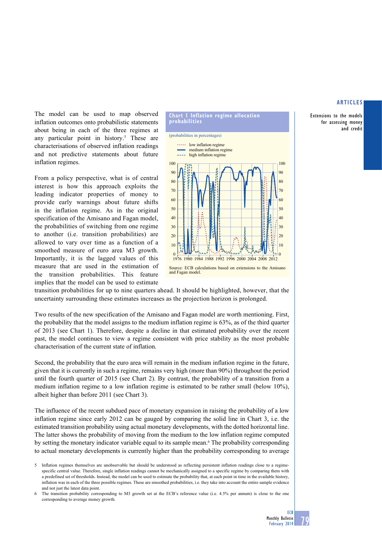Extensions to the models for assessing money and credit

The model can be used to map observed inflation outcomes onto probabilistic statements about being in each of the three regimes at any particular point in history.<sup>5</sup> These are characterisations of observed inflation readings and not predictive statements about future inflation regimes.

From a policy perspective, what is of central interest is how this approach exploits the leading indicator properties of money to provide early warnings about future shifts in the inflation regime. As in the original specification of the Amisano and Fagan model, the probabilities of switching from one regime to another (i.e. transition probabilities) are allowed to vary over time as a function of a smoothed measure of euro area M3 growth. Importantly, it is the lagged values of this measure that are used in the estimation of the transition probabilities. This feature implies that the model can be used to estimate



transition probabilities for up to nine quarters ahead. It should be highlighted, however, that the uncertainty surrounding these estimates increases as the projection horizon is prolonged.

Two results of the new specification of the Amisano and Fagan model are worth mentioning. First, the probability that the model assigns to the medium inflation regime is 63%, as of the third quarter of 2013 (see Chart 1). Therefore, despite a decline in that estimated probability over the recent past, the model continues to view a regime consistent with price stability as the most probable characterisation of the current state of inflation.

Second, the probability that the euro area will remain in the medium inflation regime in the future, given that it is currently in such a regime, remains very high (more than 90%) throughout the period until the fourth quarter of 2015 (see Chart 2). By contrast, the probability of a transition from a medium inflation regime to a low inflation regime is estimated to be rather small (below 10%), albeit higher than before 2011 (see Chart 3).

The influence of the recent subdued pace of monetary expansion in raising the probability of a low inflation regime since early 2012 can be gauged by comparing the solid line in Chart 3, i.e. the estimated transition probability using actual monetary developments, with the dotted horizontal line. The latter shows the probability of moving from the medium to the low inflation regime computed by setting the monetary indicator variable equal to its sample mean.<sup>6</sup> The probability corresponding to actual monetary developments is currently higher than the probability corresponding to average

<sup>5</sup> Inflation regimes themselves are unobservable but should be understood as reflecting persistent inflation readings close to a regimespecific central value. Therefore, single inflation readings cannot be mechanically assigned to a specific regime by comparing them with a predefined set of thresholds. Instead, the model can be used to estimate the probability that, at each point in time in the available history, inflation was in each of the three possible regimes. These are smoothed probabilities, i.e. they take into account the entire sample evidence and not just the latest data point.

<sup>6</sup> The transition probability corresponding to M3 growth set at the ECB's reference value (i.e. 4.5% per annum) is close to the one corresponding to average money growth.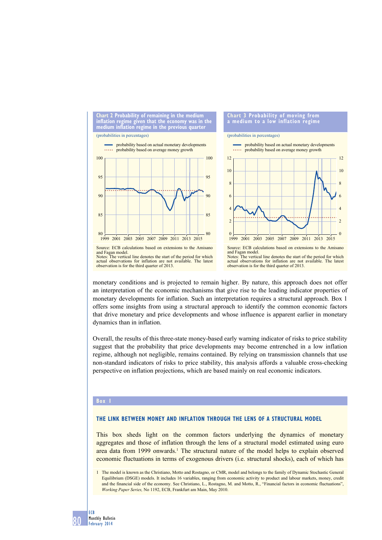

monetary conditions and is projected to remain higher. By nature, this approach does not offer an interpretation of the economic mechanisms that give rise to the leading indicator properties of monetary developments for inflation. Such an interpretation requires a structural approach. Box 1 offers some insights from using a structural approach to identify the common economic factors that drive monetary and price developments and whose influence is apparent earlier in monetary dynamics than in inflation.

Overall, the results of this three-state money-based early warning indicator of risks to price stability suggest that the probability that price developments may become entrenched in a low inflation regime, although not negligible, remains contained. By relying on transmission channels that use non-standard indicators of risks to price stability, this analysis affords a valuable cross-checking perspective on inflation projections, which are based mainly on real economic indicators.

#### **Box 1**

# **The link between money and inflation through the lens of a structural model**

This box sheds light on the common factors underlying the dynamics of monetary aggregates and those of inflation through the lens of a structural model estimated using euro area data from 1999 onwards.<sup>1</sup> The structural nature of the model helps to explain observed economic fluctuations in terms of exogenous drivers (i.e. structural shocks), each of which has

<sup>1</sup> The model is known as the Christiano, Motto and Rostagno, or CMR, model and belongs to the family of Dynamic Stochastic General Equilibrium (DSGE) models. It includes 16 variables, ranging from economic activity to product and labour markets, money, credit and the financial side of the economy. See Christiano, L., Rostagno, M. and Motto, R., "Financial factors in economic fluctuations", *Working Paper Series,* No 1192, ECB, Frankfurt am Main, May 2010.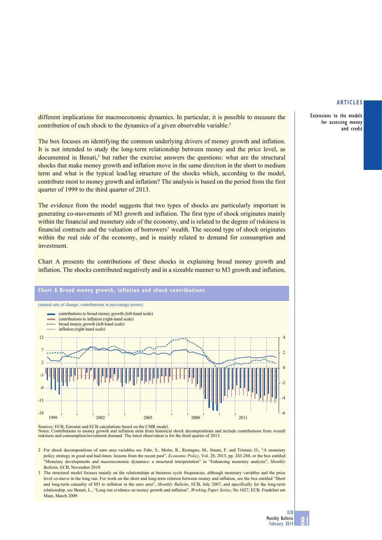Extensions to the models for assessing money and credit

different implications for macroeconomic dynamics. In particular, it is possible to measure the contribution of each shock to the dynamics of a given observable variable.<sup>2</sup>

The box focuses on identifying the common underlying drivers of money growth and inflation. It is not intended to study the long-term relationship between money and the price level, as documented in Benati,<sup>3</sup> but rather the exercise answers the questions: what are the structural shocks that make money growth and inflation move in the same direction in the short to medium term and what is the typical lead/lag structure of the shocks which, according to the model, contribute most to money growth and inflation? The analysis is based on the period from the first quarter of 1999 to the third quarter of 2013.

The evidence from the model suggests that two types of shocks are particularly important in generating co-movements of M3 growth and inflation. The first type of shock originates mainly within the financial and monetary side of the economy, and is related to the degree of riskiness in financial contracts and the valuation of borrowers' wealth. The second type of shock originates within the real side of the economy, and is mainly related to demand for consumption and investment.

Chart A presents the contributions of these shocks in explaining broad money growth and inflation. The shocks contributed negatively and in a sizeable manner to M3 growth and inflation,



Notes: Contributions to money growth and inflation stem from historical shock decompositions and include contributions from overall riskiness and consumption/investment demand. The latest observation is for the third quart

2 For shock decompositions of euro area variables see Fahr, S., Motto, R., Rostagno, M., Smets, F. and Tristani, O., "A monetary policy strategy in good and bad times: lessons from the recent past", *Economic Policy*, Vol. 28, 2013, pp. 243-288, or the box entitled "Monetary developments and macroeconomic dynamics: a structural interpretation" in "Enhancing monetary analysis", *Monthly Bulletin*, ECB, November 2010.

3 The structural model focuses mainly on the relationships at business cycle frequencies, although monetary variables and the price level co-move in the long run. For work on the short and long-term relation between money and inflation, see the box entitled "Short and long-term causality of M3 to inflation in the euro area", *Monthly Bulletin*, ECB, July 2007, and specifically for the long-term relationship, see Benati, L., "Long run evidence on money growth and inflation", *Working Paper Series*, No 1027, ECB, Frankfurt am Main, March 2009.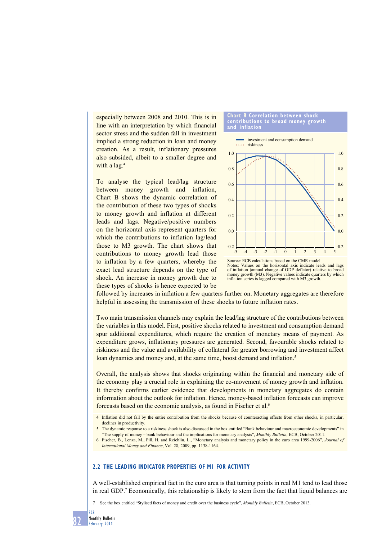especially between 2008 and 2010. This is in line with an interpretation by which financial sector stress and the sudden fall in investment implied a strong reduction in loan and money creation. As a result, inflationary pressures also subsided, albeit to a smaller degree and with a lag.<sup>4</sup>

To analyse the typical lead/lag structure between money growth and inflation, Chart B shows the dynamic correlation of the contribution of these two types of shocks to money growth and inflation at different leads and lags. Negative/positive numbers on the horizontal axis represent quarters for which the contributions to inflation lag/lead those to M3 growth. The chart shows that contributions to money growth lead those to inflation by a few quarters, whereby the exact lead structure depends on the type of shock. An increase in money growth due to these types of shocks is hence expected to be

#### **Chart b Correlation between shock contributions to broad money growth and inflation**



Source: ECB calculations based on the CMR model. Values on the horizontal axis indicate leads and lags of inflation (annual change of GDP deflator) relative to broad money growth (M3). Negative values indicate quarters by which inflation series is lagged compared with M3 growth.

followed by increases in inflation a few quarters further on. Monetary aggregates are therefore helpful in assessing the transmission of these shocks to future inflation rates.

Two main transmission channels may explain the lead/lag structure of the contributions between the variables in this model. First, positive shocks related to investment and consumption demand spur additional expenditures, which require the creation of monetary means of payment. As expenditure grows, inflationary pressures are generated. Second, favourable shocks related to riskiness and the value and availability of collateral for greater borrowing and investment affect loan dynamics and money and, at the same time, boost demand and inflation.<sup>5</sup>

Overall, the analysis shows that shocks originating within the financial and monetary side of the economy play a crucial role in explaining the co-movement of money growth and inflation. It thereby confirms earlier evidence that developments in monetary aggregates do contain information about the outlook for inflation. Hence, money-based inflation forecasts can improve forecasts based on the economic analysis, as found in Fischer et al.6

- 4 Inflation did not fall by the entire contribution from the shocks because of counteracting effects from other shocks, in particular, declines in productivity.
- 5 The dynamic response to a riskiness shock is also discussed in the box entitled "Bank behaviour and macroeconomic developments" in "The supply of money – bank behaviour and the implications for monetary analysis", *Monthly Bulletin*, ECB, October 2011.
- 6 Fischer, B., Lenza, M., Pill, H. and Reichlin, L., "Monetary analysis and monetary policy in the euro area 1999-2006", *Journal of International Money and Finance*, Vol. 28, 2009, pp. 1138-1164.

# **2.2 The leading indicator properties of M1 for activity**

A well-established empirical fact in the euro area is that turning points in real M1 tend to lead those in real GDP.7 Economically, this relationship is likely to stem from the fact that liquid balances are

7 See the box entitled "Stylised facts of money and credit over the business cycle", *Monthly Bulletin*, ECB, October 2013.

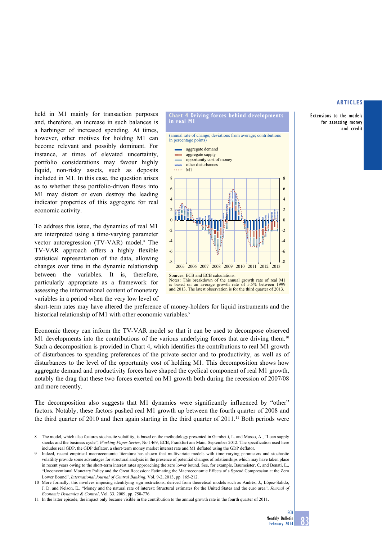Extensions to the models for assessing money and credit

held in M1 mainly for transaction purposes and, therefore, an increase in such balances is a harbinger of increased spending. At times, however, other motives for holding M1 can become relevant and possibly dominant. For instance, at times of elevated uncertainty, portfolio considerations may favour highly liquid, non-risky assets, such as deposits included in M1. In this case, the question arises as to whether these portfolio-driven flows into M1 may distort or even destroy the leading indicator properties of this aggregate for real economic activity.

To address this issue, the dynamics of real M1 are interpreted using a time-varying parameter vector autoregression (TV-VAR) model.<sup>8</sup> The TV-VAR approach offers a highly flexible statistical representation of the data, allowing changes over time in the dynamic relationship between the variables. It is, therefore, particularly appropriate as a framework for assessing the informational content of monetary variables in a period when the very low level of



short-term rates may have altered the preference of money-holders for liquid instruments and the historical relationship of M1 with other economic variables.<sup>9</sup>

Economic theory can inform the TV-VAR model so that it can be used to decompose observed M1 developments into the contributions of the various underlying forces that are driving them.<sup>10</sup> Such a decomposition is provided in Chart 4, which identifies the contributions to real M1 growth of disturbances to spending preferences of the private sector and to productivity, as well as of disturbances to the level of the opportunity cost of holding M1. This decomposition shows how aggregate demand and productivity forces have shaped the cyclical component of real M1 growth, notably the drag that these two forces exerted on M1 growth both during the recession of 2007/08 and more recently.

The decomposition also suggests that M1 dynamics were significantly influenced by "other" factors. Notably, these factors pushed real M1 growth up between the fourth quarter of 2008 and the third quarter of 2010 and then again starting in the third quarter of  $2011$ .<sup>11</sup> Both periods were

<sup>8</sup> The model, which also features stochastic volatility, is based on the methodology presented in Gambetti, L. and Musso, A., "Loan supply shocks and the business cycle", *Working Paper Series*, No 1469, ECB, Frankfurt am Main, September 2012. The specification used here includes real GDP, the GDP deflator, a short-term money market interest rate and M1 deflated using the GDP deflator.

Indeed, recent empirical macroeconomic literature has shown that multivariate models with time-varying parameters and stochastic volatility provide some advantages for structural analysis in the presence of potential changes of relationships which may have taken place in recent years owing to the short-term interest rates approaching the zero lower bound. See, for example, Baumeister, C. and Benati, L., "Unconventional Monetary Policy and the Great Recession: Estimating the Macroeconomic Effects of a Spread Compression at the Zero Lower Bound", *International Journal of Central Banking*, Vol. 9-2, 2013, pp. 165-212.

<sup>10</sup> More formally, this involves imposing identifying sign restrictions, derived from theoretical models such as Andrés, J., López-Salido, J. D. and Nelson, E., "Money and the natural rate of interest: Structural estimates for the United States and the euro area", *Journal of Economic Dynamics & Control*, Vol. 33, 2009, pp. 758-776.

<sup>11</sup> In the latter episode, the impact only became visible in the contribution to the annual growth rate in the fourth quarter of 2011.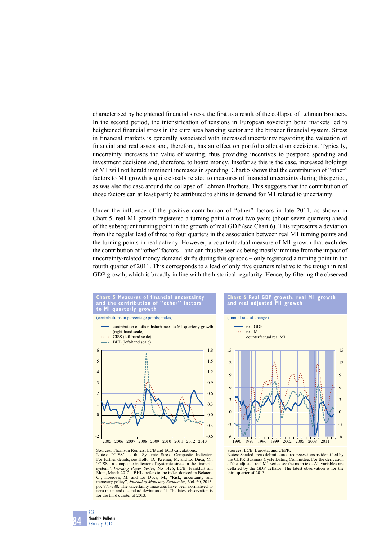characterised by heightened financial stress, the first as a result of the collapse of Lehman Brothers. In the second period, the intensification of tensions in European sovereign bond markets led to heightened financial stress in the euro area banking sector and the broader financial system. Stress in financial markets is generally associated with increased uncertainty regarding the valuation of financial and real assets and, therefore, has an effect on portfolio allocation decisions. Typically, uncertainty increases the value of waiting, thus providing incentives to postpone spending and investment decisions and, therefore, to hoard money. Insofar as this is the case, increased holdings of M1 will not herald imminent increases in spending. Chart 5 shows that the contribution of "other" factors to M1 growth is quite closely related to measures of financial uncertainty during this period, as was also the case around the collapse of Lehman Brothers. This suggests that the contribution of those factors can at least partly be attributed to shifts in demand for M1 related to uncertainty.

Under the influence of the positive contribution of "other" factors in late 2011, as shown in Chart 5, real M1 growth registered a turning point almost two years (about seven quarters) ahead of the subsequent turning point in the growth of real GDP (see Chart 6). This represents a deviation from the regular lead of three to four quarters in the association between real M1 turning points and the turning points in real activity. However, a counterfactual measure of M1 growth that excludes the contribution of "other" factors – and can thus be seen as being mostly immune from the impact of uncertainty-related money demand shifts during this episode – only registered a turning point in the fourth quarter of 2011. This corresponds to a lead of only five quarters relative to the trough in real GDP growth, which is broadly in line with the historical regularity. Hence, by filtering the observed

#### **Example 5 Measures of financial uncertainty**<br> **Chart 5 Measures 1:** Apple contribution of "other" factors and the contribution of **MI** quarterly growth

(contributions in percentage points; index)





# **Chart 6 Real GdP growth, real m1 growth and real adjusted m1 growth**

(annual rate of change)



# Sources: Thomson Reuters, ECB and ECB calculations.

Notes: "CISS" is the Systemic Stress Composite Indicator.<br>For further details, see Hollo, D., Kremer, M. and Lo Duca, M., "CISS - a composite indicator of systemic stress in the financial<br>"System", *Working Paper Series*, Main, March 2012. "BHL" refers to the index derived in Bekaert G., Hoerova, M. and Lo Duca, M., "Risk, uncertainty and monetary policy", *Journal of Monetary Economics,* Vol. 60, 2013, pp. 771-788. The uncertainty measures have been normalised to zero mean and a standard deviation of 1. The latest observation is for the third quarter of 2013.

#### Sources: ECB, Eurostat and CEPR.

Notes: Shaded areas delimit euro area recessions as identified by the CEPR Business Cycle Dating Committee. For the derivation of the adjusted real M1 series see the main text. All variables are of the adjusted real M1 series see the main text. All variables are deflated by the GDP deflator. The latest observation is for the third quarter of 2013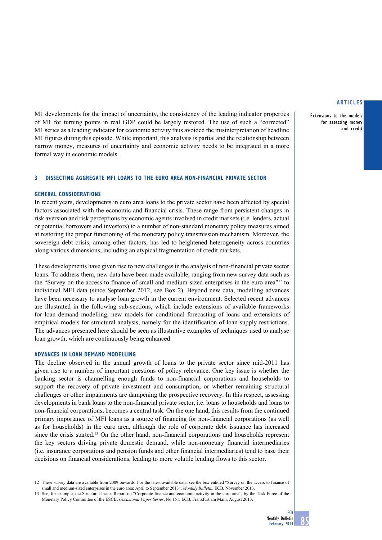Extensions to the models for assessing money and credit

M1 developments for the impact of uncertainty, the consistency of the leading indicator properties of M1 for turning points in real GDP could be largely restored. The use of such a "corrected" M1 series as a leading indicator for economic activity thus avoided the misinterpretation of headline M1 figures during this episode. While important, this analysis is partial and the relationship between narrow money, measures of uncertainty and economic activity needs to be integrated in a more formal way in economic models.

# **3 Dissecting aggregate MFI loans to the euro area non-financial private sector**

## **GENERAL CONSIDERATIONS**

In recent years, developments in euro area loans to the private sector have been affected by special factors associated with the economic and financial crisis. These range from persistent changes in risk aversion and risk perceptions by economic agents involved in credit markets (i.e. lenders, actual or potential borrowers and investors) to a number of non-standard monetary policy measures aimed at restoring the proper functioning of the monetary policy transmission mechanism. Moreover, the sovereign debt crisis, among other factors, has led to heightened heterogeneity across countries along various dimensions, including an atypical fragmentation of credit markets.

These developments have given rise to new challenges in the analysis of non-financial private sector loans. To address them, new data have been made available, ranging from new survey data such as the "Survey on the access to finance of small and medium-sized enterprises in the euro area"12 to individual MFI data (since September 2012, see Box 2). Beyond new data, modelling advances have been necessary to analyse loan growth in the current environment. Selected recent advances are illustrated in the following sub-sections, which include extensions of available frameworks for loan demand modelling, new models for conditional forecasting of loans and extensions of empirical models for structural analysis, namely for the identification of loan supply restrictions. The advances presented here should be seen as illustrative examples of techniques used to analyse loan growth, which are continuously being enhanced.

## **advances in loan demand modelling**

The decline observed in the annual growth of loans to the private sector since mid-2011 has given rise to a number of important questions of policy relevance. One key issue is whether the banking sector is channelling enough funds to non-financial corporations and households to support the recovery of private investment and consumption, or whether remaining structural challenges or other impairments are dampening the prospective recovery. In this respect, assessing developments in bank loans to the non-financial private sector, i.e. loans to households and loans to non-financial corporations, becomes a central task. On the one hand, this results from the continued primary importance of MFI loans as a source of financing for non-financial corporations (as well as for households) in the euro area, although the role of corporate debt issuance has increased since the crisis started.13 On the other hand, non-financial corporations and households represent the key sectors driving private domestic demand, while non-monetary financial intermediaries (i.e. insurance corporations and pension funds and other financial intermediaries) tend to base their decisions on financial considerations, leading to more volatile lending flows to this sector.

<sup>12</sup> These survey data are available from 2009 onwards. For the latest available data, see the box entitled "Survey on the access to finance of small and medium-sized enterprises in the euro area: April to September 2013", *Monthly Bulletin*, ECB, November 2013.

<sup>13</sup> See, for example, the Structural Issues Report on "Corporate finance and economic activity in the euro area", by the Task Force of the Monetary Policy Committee of the ESCB, *Occasional Paper Series*, No 151, ECB, Frankfurt am Main, August 2013.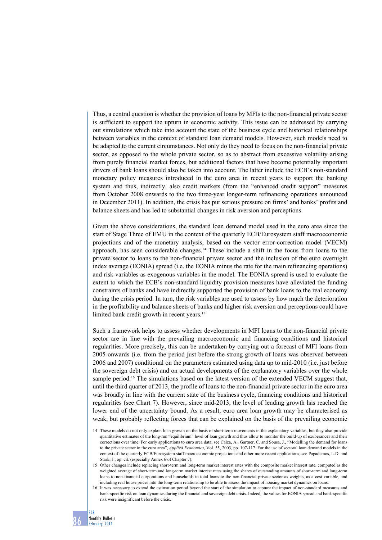Thus, a central question is whether the provision of loans by MFIs to the non-financial private sector is sufficient to support the upturn in economic activity. This issue can be addressed by carrying out simulations which take into account the state of the business cycle and historical relationships between variables in the context of standard loan demand models. However, such models need to be adapted to the current circumstances. Not only do they need to focus on the non-financial private sector, as opposed to the whole private sector, so as to abstract from excessive volatility arising from purely financial market forces, but additional factors that have become potentially important drivers of bank loans should also be taken into account. The latter include the ECB's non-standard monetary policy measures introduced in the euro area in recent years to support the banking system and thus, indirectly, also credit markets (from the "enhanced credit support" measures from October 2008 onwards to the two three-year longer-term refinancing operations announced in December 2011). In addition, the crisis has put serious pressure on firms' and banks' profits and balance sheets and has led to substantial changes in risk aversion and perceptions.

Given the above considerations, the standard loan demand model used in the euro area since the start of Stage Three of EMU in the context of the quarterly ECB/Eurosystem staff macroeconomic projections and of the monetary analysis, based on the vector error-correction model (VECM) approach, has seen considerable changes.<sup>14</sup> These include a shift in the focus from loans to the private sector to loans to the non-financial private sector and the inclusion of the euro overnight index average (EONIA) spread (i.e. the EONIA minus the rate for the main refinancing operations) and risk variables as exogenous variables in the model. The EONIA spread is used to evaluate the extent to which the ECB's non-standard liquidity provision measures have alleviated the funding constraints of banks and have indirectly supported the provision of bank loans to the real economy during the crisis period. In turn, the risk variables are used to assess by how much the deterioration in the profitability and balance sheets of banks and higher risk aversion and perceptions could have limited bank credit growth in recent years.<sup>15</sup>

Such a framework helps to assess whether developments in MFI loans to the non-financial private sector are in line with the prevailing macroeconomic and financing conditions and historical regularities. More precisely, this can be undertaken by carrying out a forecast of MFI loans from 2005 onwards (i.e. from the period just before the strong growth of loans was observed between 2006 and 2007) conditional on the parameters estimated using data up to mid-2010 (i.e. just before the sovereign debt crisis) and on actual developments of the explanatory variables over the whole sample period.<sup>16</sup> The simulations based on the latest version of the extended VECM suggest that, until the third quarter of 2013, the profile of loans to the non-financial private sector in the euro area was broadly in line with the current state of the business cycle, financing conditions and historical regularities (see Chart 7). However, since mid-2013, the level of lending growth has reached the lower end of the uncertainty bound. As a result, euro area loan growth may be characterised as weak, but probably reflecting forces that can be explained on the basis of the prevailing economic

<sup>14</sup> These models do not only explain loan growth on the basis of short-term movements in the explanatory variables, but they also provide quantitative estimates of the long-run "equilibrium" level of loan growth and thus allow to monitor the build-up of exuberances and their corrections over time. For early applications to euro area data, see Calza, A., Gartner, C. and Sousa, J., "Modelling the demand for loans to the private sector in the euro area", *Applied Economics*, Vol. 35, 2003, pp. 107-117. For the use of sectoral loan demand models in the context of the quarterly ECB/Eurosystem staff macroeconomic projections and other more recent applications, see Papademos, L.D. and Stark, J., op. cit. (especially Annex 6 of Chapter 7).

<sup>15</sup> Other changes include replacing short-term and long-term market interest rates with the composite market interest rate, computed as the weighted average of short-term and long-term market interest rates using the shares of outstanding amounts of short-term and long-term loans to non-financial corporations and households in total loans to the non-financial private sector as weights, as a cost variable, and including real house prices into the long-term relationship to be able to assess the impact of housing market dynamics on loans.

<sup>16</sup> It was necessary to extend the estimation period beyond the start of the simulation to capture the impact of non-standard measures and bank-specific risk on loan dynamics during the financial and sovereign debt crisis. Indeed, the values for EONIA spread and bank-specific risk were insignificant before the crisis.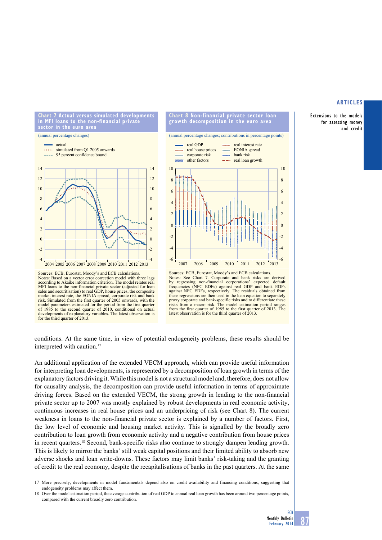Extensions to the models for assessing money and credit



**Chart 7 Actual versus simulated developments in mfi loans to the non-financial private** 

Sources: ECB, Eurostat, Moody's and ECB calculations. Notes: Based on a vector error correction model with three lags according to Akaike information criterion. The model relates real MFI loans to the non-financial private sector (adjusted for loan sales and securitisation) to real GDP, house prices, the composite market interest rate, the EONIA spread, corporate risk and bank risk. Simulated from the first quarter of 2005 onwards, with the model parameters estimated for the period from the first quarter of 1985 to the second quarter of 2010, conditional on actual developments of explanatory variables. The latest observation is for the third quarter of 2013.







conditions. At the same time, in view of potential endogeneity problems, these results should be interpreted with caution.<sup>17</sup>

An additional application of the extended VECM approach, which can provide useful information for interpreting loan developments, is represented by a decomposition of loan growth in terms of the explanatory factors driving it. While this model is not a structural model and, therefore, does not allow for causality analysis, the decomposition can provide useful information in terms of approximate driving forces. Based on the extended VECM, the strong growth in lending to the non-financial private sector up to 2007 was mostly explained by robust developments in real economic activity, continuous increases in real house prices and an underpricing of risk (see Chart 8). The current weakness in loans to the non-financial private sector is explained by a number of factors. First, the low level of economic and housing market activity. This is signalled by the broadly zero contribution to loan growth from economic activity and a negative contribution from house prices in recent quarters.<sup>18</sup> Second, bank-specific risks also continue to strongly dampen lending growth. This is likely to mirror the banks' still weak capital positions and their limited ability to absorb new adverse shocks and loan write-downs. These factors may limit banks' risk-taking and the granting of credit to the real economy, despite the recapitalisations of banks in the past quarters. At the same

17 More precisely, developments in model fundamentals depend also on credit availability and financing conditions, suggesting that endogeneity problems may affect them.

<sup>18</sup> Over the model estimation period, the average contribution of real GDP to annual real loan growth has been around two percentage points, compared with the current broadly zero contribution.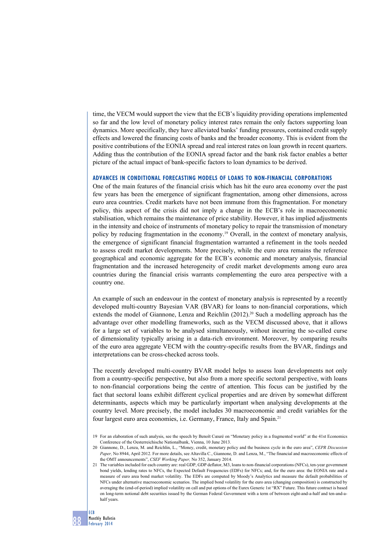time, the VECM would support the view that the ECB's liquidity providing operations implemented so far and the low level of monetary policy interest rates remain the only factors supporting loan dynamics. More specifically, they have alleviated banks' funding pressures, contained credit supply effects and lowered the financing costs of banks and the broader economy. This is evident from the positive contributions of the EONIA spread and real interest rates on loan growth in recent quarters. Adding thus the contribution of the EONIA spread factor and the bank risk factor enables a better picture of the actual impact of bank-specific factors to loan dynamics to be derived.

## **advances in conditional forecasting models of loans to non-financial corporations**

One of the main features of the financial crisis which has hit the euro area economy over the past few years has been the emergence of significant fragmentation, among other dimensions, across euro area countries. Credit markets have not been immune from this fragmentation. For monetary policy, this aspect of the crisis did not imply a change in the ECB's role in macroeconomic stabilisation, which remains the maintenance of price stability. However, it has implied adjustments in the intensity and choice of instruments of monetary policy to repair the transmission of monetary policy by reducing fragmentation in the economy.<sup>19</sup> Overall, in the context of monetary analysis, the emergence of significant financial fragmentation warranted a refinement in the tools needed to assess credit market developments. More precisely, while the euro area remains the reference geographical and economic aggregate for the ECB's economic and monetary analysis, financial fragmentation and the increased heterogeneity of credit market developments among euro area countries during the financial crisis warrants complementing the euro area perspective with a country one.

An example of such an endeavour in the context of monetary analysis is represented by a recently developed multi-country Bayesian VAR (BVAR) for loans to non-financial corporations, which extends the model of Giannone, Lenza and Reichlin  $(2012)^{20}$  Such a modelling approach has the advantage over other modelling frameworks, such as the VECM discussed above, that it allows for a large set of variables to be analysed simultaneously, without incurring the so-called curse of dimensionality typically arising in a data-rich environment. Moreover, by comparing results of the euro area aggregate VECM with the country-specific results from the BVAR, findings and interpretations can be cross-checked across tools.

The recently developed multi-country BVAR model helps to assess loan developments not only from a country-specific perspective, but also from a more specific sectoral perspective, with loans to non-financial corporations being the centre of attention. This focus can be justified by the fact that sectoral loans exhibit different cyclical properties and are driven by somewhat different determinants, aspects which may be particularly important when analysing developments at the country level. More precisely, the model includes 30 macroeconomic and credit variables for the four largest euro area economies, i.e. Germany, France, Italy and Spain.21

<sup>19</sup> For an elaboration of such analysis, see the speech by Benoît Cœuré on "Monetary policy in a fragmented world" at the 41st Economics Conference of the Oesterreichische Nationalbank, Vienna, 10 June 2013.

<sup>20</sup> Giannone, D., Lenza, M. and Reichlin, L., "Money, credit, monetary policy and the business cycle in the euro area", *CEPR Discussion Paper,* No 8944, April 2012. For more details, see Altavilla C., Giannone, D. and Lenza, M., "The financial and macroeconomic effects of the OMT announcements", *CSEF Working Paper,* No 352, January 2014.

<sup>21</sup> The variables included for each country are: real GDP, GDP deflator, M3, loans to non-financial corporations (NFCs), ten-year government bond yields, lending rates to NFCs, the Expected Default Frequencies (EDFs) for NFCs; and, for the euro area: the EONIA rate and a measure of euro area bond market volatility. The EDFs are computed by Moody's Analytics and measure the default probabilities of NFCs under alternative macroeconomic scenarios. The implied bond volatility for the euro area (changing composition) is constructed by averaging the (end-of-period) implied volatility on call and put options of the Eurex Generic 1st "RX" Future. This future contract is based on long-term notional debt securities issued by the German Federal Government with a term of between eight-and-a-half and ten-and-ahalf years.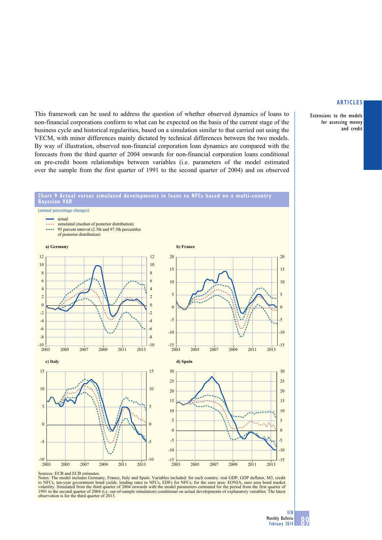Extensions to the models for assessing money and credit

This framework can be used to address the question of whether observed dynamics of loans to non-financial corporations conform to what can be expected on the basis of the current stage of the business cycle and historical regularities, based on a simulation similar to that carried out using the VECM, with minor differences mainly dictated by technical differences between the two models. By way of illustration, observed non-financial corporation loan dynamics are compared with the forecasts from the third quarter of 2004 onwards for non-financial corporation loans conditional on pre-credit boom relationships between variables (i.e. parameters of the model estimated over the sample from the first quarter of 1991 to the second quarter of 2004) and on observed



Sources: ECB and ECB estimates.

Notes: The model includes Germany, France, Italy and Spain. Variables included: for each country: real GDP, GDP deflator, M3, credit<br>to NFCs, ten-year government bond yields, lending rates to NFCs, EDFs for NFCs; for the e volatility. Simulated from the third quarter of 2004 onwards with the model parameters estimated for the period from the first quarter of 1991 to the second quarter of 2004 (i.e. out-of-sample simulation) conditional on ac observation is for the third quarter of 2013.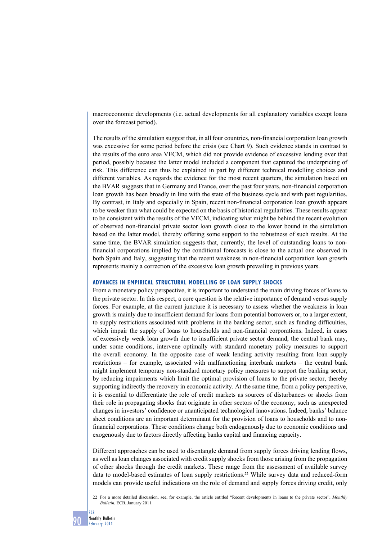macroeconomic developments (i.e. actual developments for all explanatory variables except loans over the forecast period).

The results of the simulation suggest that, in all four countries, non-financial corporation loan growth was excessive for some period before the crisis (see Chart 9). Such evidence stands in contrast to the results of the euro area VECM, which did not provide evidence of excessive lending over that period, possibly because the latter model included a component that captured the underpricing of risk. This difference can thus be explained in part by different technical modelling choices and different variables. As regards the evidence for the most recent quarters, the simulation based on the BVAR suggests that in Germany and France, over the past four years, non-financial corporation loan growth has been broadly in line with the state of the business cycle and with past regularities. By contrast, in Italy and especially in Spain, recent non-financial corporation loan growth appears to be weaker than what could be expected on the basis of historical regularities. These results appear to be consistent with the results of the VECM, indicating what might be behind the recent evolution of observed non-financial private sector loan growth close to the lower bound in the simulation based on the latter model, thereby offering some support to the robustness of such results. At the same time, the BVAR simulation suggests that, currently, the level of outstanding loans to nonfinancial corporations implied by the conditional forecasts is close to the actual one observed in both Spain and Italy, suggesting that the recent weakness in non-financial corporation loan growth represents mainly a correction of the excessive loan growth prevailing in previous years.

#### **advances in empirical structural modelling of loan supply shocks**

From a monetary policy perspective, it is important to understand the main driving forces of loans to the private sector. In this respect, a core question is the relative importance of demand versus supply forces. For example, at the current juncture it is necessary to assess whether the weakness in loan growth is mainly due to insufficient demand for loans from potential borrowers or, to a larger extent, to supply restrictions associated with problems in the banking sector, such as funding difficulties, which impair the supply of loans to households and non-financial corporations. Indeed, in cases of excessively weak loan growth due to insufficient private sector demand, the central bank may, under some conditions, intervene optimally with standard monetary policy measures to support the overall economy. In the opposite case of weak lending activity resulting from loan supply restrictions – for example, associated with malfunctioning interbank markets – the central bank might implement temporary non-standard monetary policy measures to support the banking sector, by reducing impairments which limit the optimal provision of loans to the private sector, thereby supporting indirectly the recovery in economic activity. At the same time, from a policy perspective, it is essential to differentiate the role of credit markets as sources of disturbances or shocks from their role in propagating shocks that originate in other sectors of the economy, such as unexpected changes in investors' confidence or unanticipated technological innovations. Indeed, banks' balance sheet conditions are an important determinant for the provision of loans to households and to nonfinancial corporations. These conditions change both endogenously due to economic conditions and exogenously due to factors directly affecting banks capital and financing capacity.

Different approaches can be used to disentangle demand from supply forces driving lending flows, as well as loan changes associated with credit supply shocks from those arising from the propagation of other shocks through the credit markets. These range from the assessment of available survey data to model-based estimates of loan supply restrictions.22 While survey data and reduced-form models can provide useful indications on the role of demand and supply forces driving credit, only

22 For a more detailed discussion, see, for example, the article entitled "Recent developments in loans to the private sector", *Monthly Bulletin*, ECB, January 2011.

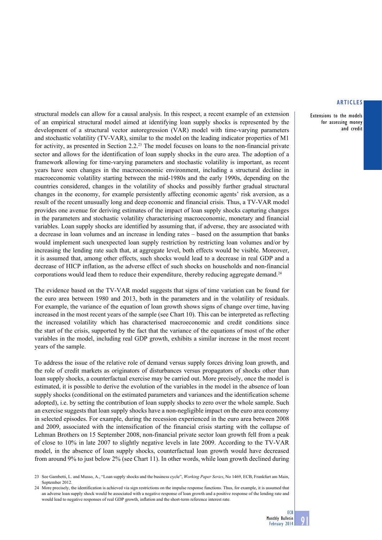Extensions to the models for assessing money and credit

structural models can allow for a causal analysis. In this respect, a recent example of an extension of an empirical structural model aimed at identifying loan supply shocks is represented by the development of a structural vector autoregression (VAR) model with time-varying parameters and stochastic volatility (TV-VAR), similar to the model on the leading indicator properties of M1 for activity, as presented in Section 2.2.23 The model focuses on loans to the non-financial private sector and allows for the identification of loan supply shocks in the euro area. The adoption of a framework allowing for time-varying parameters and stochastic volatility is important, as recent years have seen changes in the macroeconomic environment, including a structural decline in macroeconomic volatility starting between the mid-1980s and the early 1990s, depending on the countries considered, changes in the volatility of shocks and possibly further gradual structural changes in the economy, for example persistently affecting economic agents' risk aversion, as a result of the recent unusually long and deep economic and financial crisis. Thus, a TV-VAR model provides one avenue for deriving estimates of the impact of loan supply shocks capturing changes in the parameters and stochastic volatility characterising macroeconomic, monetary and financial variables. Loan supply shocks are identified by assuming that, if adverse, they are associated with a decrease in loan volumes and an increase in lending rates – based on the assumption that banks would implement such unexpected loan supply restriction by restricting loan volumes and/or by increasing the lending rate such that, at aggregate level, both effects would be visible. Moreover, it is assumed that, among other effects, such shocks would lead to a decrease in real GDP and a decrease of HICP inflation, as the adverse effect of such shocks on households and non-financial corporations would lead them to reduce their expenditure, thereby reducing aggregate demand.<sup>24</sup>

The evidence based on the TV-VAR model suggests that signs of time variation can be found for the euro area between 1980 and 2013, both in the parameters and in the volatility of residuals. For example, the variance of the equation of loan growth shows signs of change over time, having increased in the most recent years of the sample (see Chart 10). This can be interpreted as reflecting the increased volatility which has characterised macroeconomic and credit conditions since the start of the crisis, supported by the fact that the variance of the equations of most of the other variables in the model, including real GDP growth, exhibits a similar increase in the most recent years of the sample.

To address the issue of the relative role of demand versus supply forces driving loan growth, and the role of credit markets as originators of disturbances versus propagators of shocks other than loan supply shocks, a counterfactual exercise may be carried out. More precisely, once the model is estimated, it is possible to derive the evolution of the variables in the model in the absence of loan supply shocks (conditional on the estimated parameters and variances and the identification scheme adopted), i.e. by setting the contribution of loan supply shocks to zero over the whole sample. Such an exercise suggests that loan supply shocks have a non-negligible impact on the euro area economy in selected episodes. For example, during the recession experienced in the euro area between 2008 and 2009, associated with the intensification of the financial crisis starting with the collapse of Lehman Brothers on 15 September 2008, non-financial private sector loan growth fell from a peak of close to 10% in late 2007 to slightly negative levels in late 2009. According to the TV-VAR model, in the absence of loan supply shocks, counterfactual loan growth would have decreased from around 9% to just below 2% (see Chart 11). In other words, while loan growth declined during

<sup>23</sup> See Gambetti, L. and Musso, A., "Loan supply shocks and the business cycle", *Working Paper Series*, No 1469, ECB, Frankfurt am Main, September 2012.

<sup>24</sup> More precisely, the identification is achieved via sign restrictions on the impulse response functions. Thus, for example, it is assumed that an adverse loan supply shock would be associated with a negative response of loan growth and a positive response of the lending rate and would lead to negative responses of real GDP growth, inflation and the short-term reference interest rate.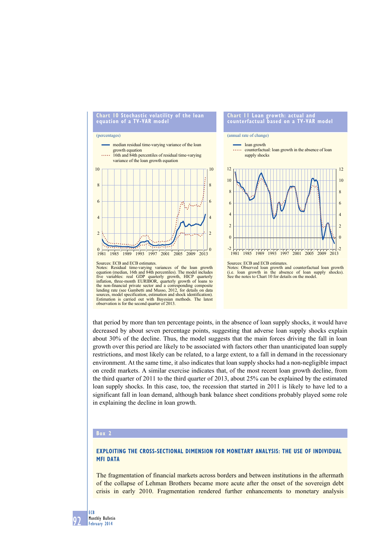

that period by more than ten percentage points, in the absence of loan supply shocks, it would have decreased by about seven percentage points, suggesting that adverse loan supply shocks explain about 30% of the decline. Thus, the model suggests that the main forces driving the fall in loan growth over this period are likely to be associated with factors other than unanticipated loan supply restrictions, and most likely can be related, to a large extent, to a fall in demand in the recessionary environment. At the same time, it also indicates that loan supply shocks had a non-negligible impact on credit markets. A similar exercise indicates that, of the most recent loan growth decline, from the third quarter of 2011 to the third quarter of 2013, about 25% can be explained by the estimated loan supply shocks. In this case, too, the recession that started in 2011 is likely to have led to a significant fall in loan demand, although bank balance sheet conditions probably played some role in explaining the decline in loan growth.

## **Box 2**

# **Exploiting the cross-sectional dimension for monetary analysis: the use of individual MFI data**

The fragmentation of financial markets across borders and between institutions in the aftermath of the collapse of Lehman Brothers became more acute after the onset of the sovereign debt crisis in early 2010. Fragmentation rendered further enhancements to monetary analysis

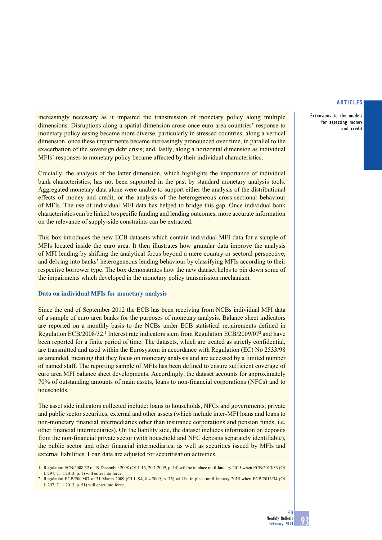Extensions to the models for assessing money and credit

increasingly necessary as it impaired the transmission of monetary policy along multiple dimensions. Disruptions along a spatial dimension arose once euro area countries' response to monetary policy easing became more diverse, particularly in stressed countries; along a vertical dimension, once these impairments became increasingly pronounced over time, in parallel to the exacerbation of the sovereign debt crisis; and, lastly, along a horizontal dimension as individual MFIs' responses to monetary policy became affected by their individual characteristics.

Crucially, the analysis of the latter dimension, which highlights the importance of individual bank characteristics, has not been supported in the past by standard monetary analysis tools. Aggregated monetary data alone were unable to support either the analysis of the distributional effects of money and credit, or the analysis of the heterogeneous cross-sectional behaviour of MFIs. The use of individual MFI data has helped to bridge this gap. Once individual bank characteristics can be linked to specific funding and lending outcomes, more accurate information on the relevance of supply-side constraints can be extracted.

This box introduces the new ECB datasets which contain individual MFI data for a sample of MFIs located inside the euro area. It then illustrates how granular data improve the analysis of MFI lending by shifting the analytical focus beyond a mere country or sectoral perspective, and delving into banks' heterogeneous lending behaviour by classifying MFIs according to their respective borrower type. The box demonstrates how the new dataset helps to pin down some of the impairments which developed in the monetary policy transmission mechanism.

# **Data on individual MFIs for monetary analysis**

Since the end of September 2012 the ECB has been receiving from NCBs individual MFI data of a sample of euro area banks for the purposes of monetary analysis. Balance sheet indicators are reported on a monthly basis to the NCBs under ECB statistical requirements defined in Regulation ECB/2008/32.<sup>1</sup> Interest rate indicators stem from Regulation ECB/2009/07<sup>2</sup> and have been reported for a finite period of time. The datasets, which are treated as strictly confidential, are transmitted and used within the Eurosystem in accordance with Regulation (EC) No 2533/98 as amended, meaning that they focus on monetary analysis and are accessed by a limited number of named staff. The reporting sample of MFIs has been defined to ensure sufficient coverage of euro area MFI balance sheet developments. Accordingly, the dataset accounts for approximately 70% of outstanding amounts of main assets, loans to non-financial corporations (NFCs) and to households.

The asset side indicators collected include: loans to households, NFCs and governments, private and public sector securities, external and other assets (which include inter-MFI loans and loans to non-monetary financial intermediaries other than insurance corporations and pension funds, i.e. other financial intermediaries). On the liability side, the dataset includes information on deposits from the non-financial private sector (with household and NFC deposits separately identifiable), the public sector and other financial intermediaries, as well as securities issued by MFIs and external liabilities. Loan data are adjusted for securitisation activities.

<sup>1</sup> Regulation ECB/2008/32 of 19 December 2008 (OJ L 15, 20.1.2009, p. 14) will be in place until January 2015 when ECB/2013/33 (OJ L 297, 7.11.2013, p. 1) will enter into force.

<sup>2</sup> Regulation ECB/2009/07 of 31 March 2009 (OJ L 94, 8.4.2009, p. 75) will be in place until January 2015 when ECB/2013/34 (OJ L 297, 7.11.2013, p. 51) will enter into force.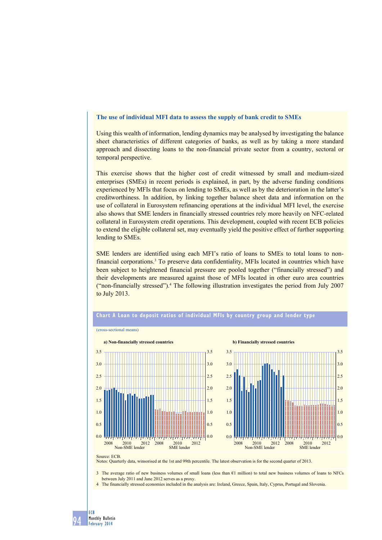## **The use of individual MFI data to assess the supply of bank credit to SMEs**

Using this wealth of information, lending dynamics may be analysed by investigating the balance sheet characteristics of different categories of banks, as well as by taking a more standard approach and dissecting loans to the non-financial private sector from a country, sectoral or temporal perspective.

This exercise shows that the higher cost of credit witnessed by small and medium-sized enterprises (SMEs) in recent periods is explained, in part, by the adverse funding conditions experienced by MFIs that focus on lending to SMEs, as well as by the deterioration in the latter's creditworthiness. In addition, by linking together balance sheet data and information on the use of collateral in Eurosystem refinancing operations at the individual MFI level, the exercise also shows that SME lenders in financially stressed countries rely more heavily on NFC-related collateral in Eurosystem credit operations. This development, coupled with recent ECB policies to extend the eligible collateral set, may eventually yield the positive effect of further supporting lending to SMEs.

SME lenders are identified using each MFI's ratio of loans to SMEs to total loans to nonfinancial corporations.<sup>3</sup> To preserve data confidentiality, MFIs located in countries which have been subject to heightened financial pressure are pooled together ("financially stressed") and their developments are measured against those of MFIs located in other euro area countries ("non-financially stressed").4 The following illustration investigates the period from July 2007 to July 2013.



## **Chart A loan to deposit ratios of individual mfis by country group and lender type**

Source: ECB. Notes: Quarterly data, winsorised at the 1st and 99th percentile. The latest observation is for the second quarter of 2013.

3 The average ratio of new business volumes of small loans (less than €1 million) to total new business volumes of loans to NFCs between July 2011 and June 2012 serves as a proxy.

4 The financially stressed economies included in the analysis are: Ireland, Greece, Spain, Italy, Cyprus, Portugal and Slovenia.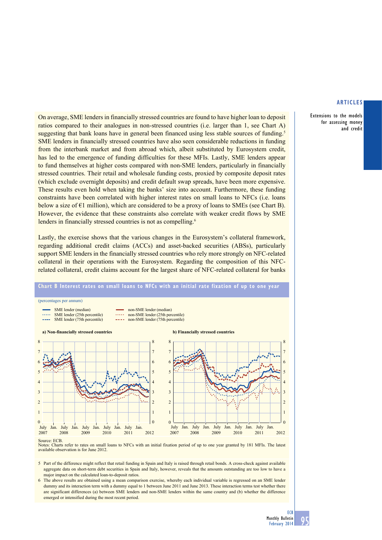Extensions to the models for assessing money and credit

On average, SME lenders in financially stressed countries are found to have higher loan to deposit ratios compared to their analogues in non-stressed countries (i.e. larger than 1, see Chart A) suggesting that bank loans have in general been financed using less stable sources of funding.<sup>5</sup> SME lenders in financially stressed countries have also seen considerable reductions in funding from the interbank market and from abroad which, albeit substituted by Eurosystem credit, has led to the emergence of funding difficulties for these MFIs. Lastly, SME lenders appear to fund themselves at higher costs compared with non-SME lenders, particularly in financially stressed countries. Their retail and wholesale funding costs, proxied by composite deposit rates (which exclude overnight deposits) and credit default swap spreads, have been more expensive. These results even hold when taking the banks' size into account. Furthermore, these funding constraints have been correlated with higher interest rates on small loans to NFCs (i.e. loans below a size of  $\epsilon$ 1 million), which are considered to be a proxy of loans to SMEs (see Chart B). However, the evidence that these constraints also correlate with weaker credit flows by SME lenders in financially stressed countries is not as compelling.<sup>6</sup>

Lastly, the exercise shows that the various changes in the Eurosystem's collateral framework, regarding additional credit claims (ACCs) and asset-backed securities (ABSs), particularly support SME lenders in the financially stressed countries who rely more strongly on NFC-related collateral in their operations with the Eurosystem. Regarding the composition of this NFCrelated collateral, credit claims account for the largest share of NFC-related collateral for banks



Notes: Charts refer to rates on small loans to NFCs with an initial fixation period of up to one year granted by 181 MFIs. The latest available observation is for June 2012.

5 Part of the difference might reflect that retail funding in Spain and Italy is raised through retail bonds. A cross-check against available aggregate data on short-term debt securities in Spain and Italy, however, reveals that the amounts outstanding are too low to have a major impact on the calculated loan-to-deposit ratios.

6 The above results are obtained using a mean comparison exercise, whereby each individual variable is regressed on an SME lender dummy and its interaction term with a dummy equal to 1 between June 2011 and June 2013. These interaction terms test whether there are significant differences (a) between SME lenders and non-SME lenders within the same country and (b) whether the difference emerged or intensified during the most recent period.